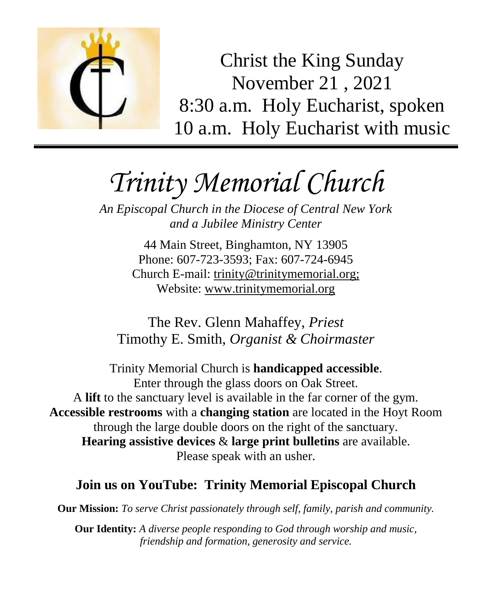

Christ the King Sunday November 21 , 2021 8:30 a.m. Holy Eucharist, spoken 10 a.m. Holy Eucharist with music

# *Trinity Memorial Church*

*An Episcopal Church in the Diocese of Central New York and a Jubilee Ministry Center*

> 44 Main Street, Binghamton, NY 13905 Phone: 607-723-3593; Fax: 607-724-6945 Church E-mail: trinity@trinitymemorial.org; Website: www.trinitymemorial.org

The Rev. Glenn Mahaffey, *Priest* Timothy E. Smith, *Organist & Choirmaster* 

Trinity Memorial Church is **handicapped accessible**. Enter through the glass doors on Oak Street. A **lift** to the sanctuary level is available in the far corner of the gym. **Accessible restrooms** with a **changing station** are located in the Hoyt Room through the large double doors on the right of the sanctuary. **Hearing assistive devices** & **large print bulletins** are available. Please speak with an usher.

# **Join us on YouTube: Trinity Memorial Episcopal Church**

**Our Mission:** *To serve Christ passionately through self, family, parish and community.*

**Our Identity:** *A diverse people responding to God through worship and music, friendship and formation, generosity and service.*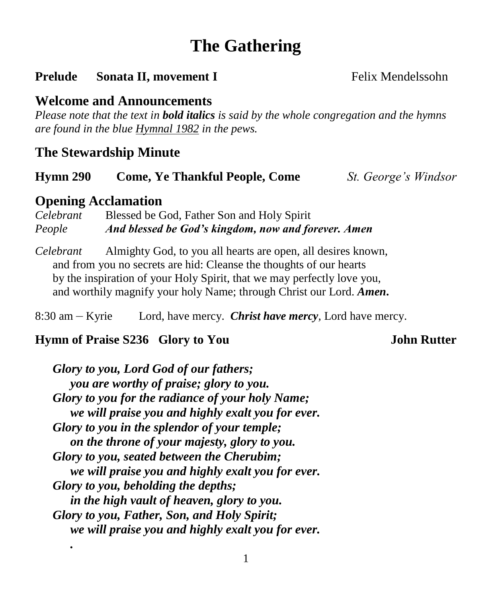# **The Gathering**

#### **Prelude** Sonata II, movement I Felix Mendelssohn

#### **Welcome and Announcements**

*Please note that the text in bold italics is said by the whole congregation and the hymns are found in the blue Hymnal 1982 in the pews.*

#### **The Stewardship Minute**

#### **Hymn 290 Come, Ye Thankful People, Come** *St. George's Windsor*

#### **Opening Acclamation**

*.*

*Celebrant* Blessed be God, Father Son and Holy Spirit *People And blessed be God's kingdom, now and forever. Amen*

*Celebrant* Almighty God, to you all hearts are open, all desires known, and from you no secrets are hid: Cleanse the thoughts of our hearts by the inspiration of your Holy Spirit, that we may perfectly love you, and worthily magnify your holy Name; through Christ our Lord. *Amen***.**

8:30 am – Kyrie Lord, have mercy. *Christ have mercy,* Lord have mercy.

#### **Hymn of Praise S236 Glory to You John Rutter**

*Glory to you, Lord God of our fathers; you are worthy of praise; glory to you. Glory to you for the radiance of your holy Name; we will praise you and highly exalt you for ever. Glory to you in the splendor of your temple; on the throne of your majesty, glory to you. Glory to you, seated between the Cherubim; we will praise you and highly exalt you for ever. Glory to you, beholding the depths; in the high vault of heaven, glory to you. Glory to you, Father, Son, and Holy Spirit; we will praise you and highly exalt you for ever.*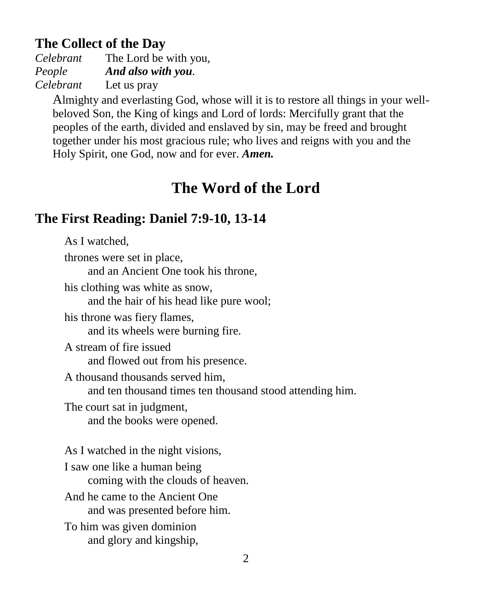# **The Collect of the Day**

*Celebrant* The Lord be with you, *People And also with you. Celebrant* Let us pray

Almighty and everlasting God, whose will it is to restore all things in your wellbeloved Son, the King of kings and Lord of lords: Mercifully grant that the peoples of the earth, divided and enslaved by sin, may be freed and brought together under his most gracious rule; who lives and reigns with you and the Holy Spirit, one God, now and for ever. *Amen.*

# **The Word of the Lord**

# **The First Reading: Daniel 7:9-10, 13-14**

As I watched, thrones were set in place, and an Ancient One took his throne, his clothing was white as snow, and the hair of his head like pure wool; his throne was fiery flames, and its wheels were burning fire. A stream of fire issued and flowed out from his presence. A thousand thousands served him, and ten thousand times ten thousand stood attending him. The court sat in judgment, and the books were opened. As I watched in the night visions, I saw one like a human being coming with the clouds of heaven. And he came to the Ancient One and was presented before him. To him was given dominion and glory and kingship,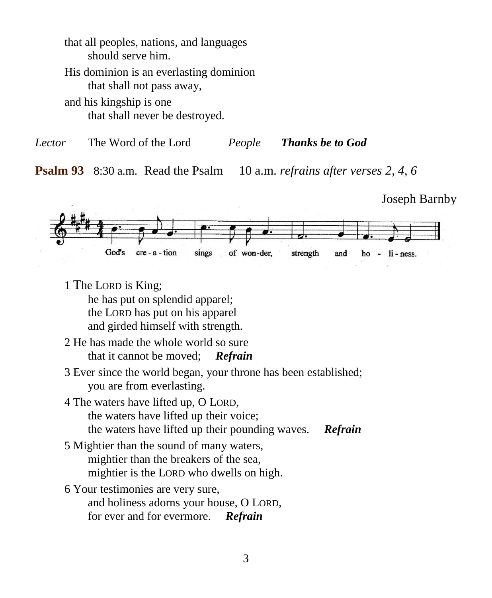that all peoples, nations, and languages should serve him. His dominion is an everlasting dominion that shall not pass away, and his kingship is one

that shall never be destroyed.

*Lector* The Word of the Lord *People Thanks be to God*

**Psalm 93** 8:30 a.m.Read the Psalm 10 a.m. *refrains after verses 2, 4, 6*

Joseph Barnby God's cre-a-tion sings of won-der, strength and ho  $-$  li - ness.

1 The LORD is King;

he has put on splendid apparel; the LORD has put on his apparel and girded himself with strength.

- 2 He has made the whole world so sure that it cannot be moved; *Refrain*
- 3 Ever since the world began, your throne has been established; you are from everlasting.
- 4 The waters have lifted up, O LORD, the waters have lifted up their voice; the waters have lifted up their pounding waves. *Refrain*
- 5 Mightier than the sound of many waters, mightier than the breakers of the sea, mightier is the LORD who dwells on high.
- 6 Your testimonies are very sure, and holiness adorns your house, O LORD, for ever and for evermore. *Refrain*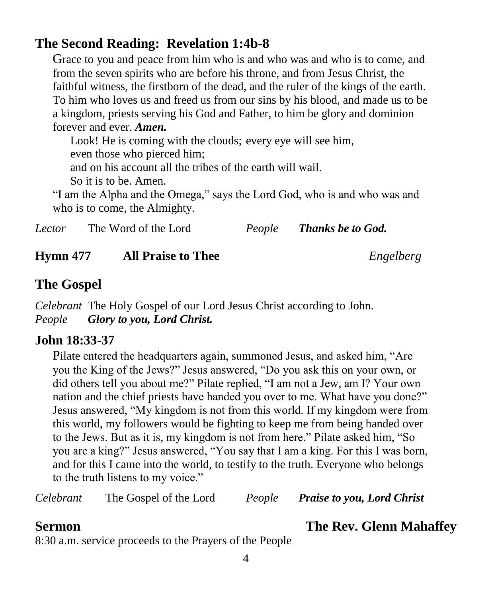## **The Second Reading: Revelation 1:4b-8**

Grace to you and peace from him who is and who was and who is to come, and from the seven spirits who are before his throne, and from Jesus Christ, the faithful witness, the firstborn of the dead, and the ruler of the kings of the earth. To him who loves us and freed us from our sins by his blood, and made us to be a kingdom, priests serving his God and Father, to him be glory and dominion forever and ever. *Amen.*

Look! He is coming with the clouds; every eye will see him, even those who pierced him; and on his account all the tribes of the earth will wail. So it is to be. Amen.

"I am the Alpha and the Omega," says the Lord God, who is and who was and who is to come, the Almighty.

| Lector | The Word of the Lord | People | <b>Thanks be to God.</b> |
|--------|----------------------|--------|--------------------------|
|--------|----------------------|--------|--------------------------|

#### **Hymn 477 All Praise to Thee** *Engelberg*

# **The Gospel**

*Celebrant* The Holy Gospel of our Lord Jesus Christ according to John. *People Glory to you, Lord Christ.*

#### **John 18:33-37**

Pilate entered the headquarters again, summoned Jesus, and asked him, "Are you the King of the Jews?" Jesus answered, "Do you ask this on your own, or did others tell you about me?" Pilate replied, "I am not a Jew, am I? Your own nation and the chief priests have handed you over to me. What have you done?" Jesus answered, "My kingdom is not from this world. If my kingdom were from this world, my followers would be fighting to keep me from being handed over to the Jews. But as it is, my kingdom is not from here." Pilate asked him, "So you are a king?" Jesus answered, "You say that I am a king. For this I was born, and for this I came into the world, to testify to the truth. Everyone who belongs to the truth listens to my voice."

*Celebrant* The Gospel of the Lord *People Praise to you, Lord Christ*

#### **Sermon The Rev. Glenn Mahaffey**

8:30 a.m. service proceeds to the Prayers of the People

#### 4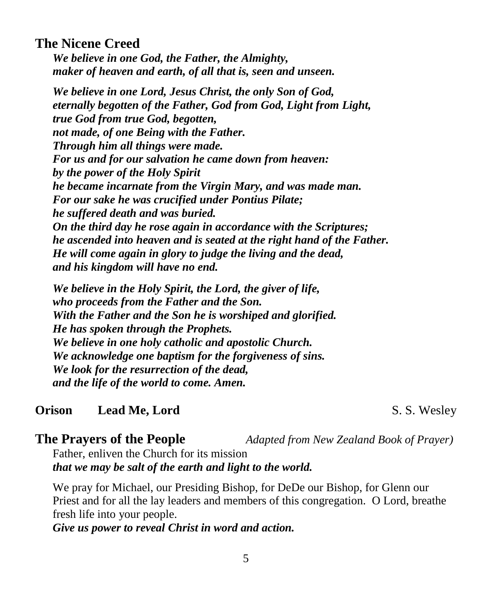#### **The Nicene Creed**

*We believe in one God, the Father, the Almighty, maker of heaven and earth, of all that is, seen and unseen.*

*We believe in one Lord, Jesus Christ, the only Son of God, eternally begotten of the Father, God from God, Light from Light, true God from true God, begotten, not made, of one Being with the Father. Through him all things were made. For us and for our salvation he came down from heaven: by the power of the Holy Spirit he became incarnate from the Virgin Mary, and was made man. For our sake he was crucified under Pontius Pilate; he suffered death and was buried. On the third day he rose again in accordance with the Scriptures; he ascended into heaven and is seated at the right hand of the Father. He will come again in glory to judge the living and the dead, and his kingdom will have no end.*

*We believe in the Holy Spirit, the Lord, the giver of life, who proceeds from the Father and the Son. With the Father and the Son he is worshiped and glorified. He has spoken through the Prophets. We believe in one holy catholic and apostolic Church. We acknowledge one baptism for the forgiveness of sins. We look for the resurrection of the dead, and the life of the world to come. Amen.*

#### **Orison** Lead Me, Lord S. S. Wesley

**The Prayers of the People** *Adapted from New Zealand Book of Prayer)*

Father, enliven the Church for its mission *that we may be salt of the earth and light to the world.*

We pray for Michael, our Presiding Bishop, for DeDe our Bishop, for Glenn our Priest and for all the lay leaders and members of this congregation. O Lord, breathe fresh life into your people.

*Give us power to reveal Christ in word and action.*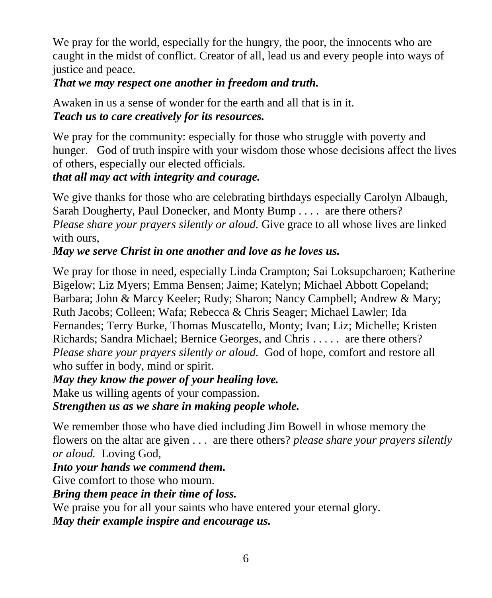We pray for the world, especially for the hungry, the poor, the innocents who are caught in the midst of conflict. Creator of all, lead us and every people into ways of justice and peace.

#### *That we may respect one another in freedom and truth.*

Awaken in us a sense of wonder for the earth and all that is in it. *Teach us to care creatively for its resources.*

We pray for the community: especially for those who struggle with poverty and hunger. God of truth inspire with your wisdom those whose decisions affect the lives of others, especially our elected officials.

*that all may act with integrity and courage.*

We give thanks for those who are celebrating birthdays especially Carolyn Albaugh, Sarah Dougherty, Paul Donecker, and Monty Bump *. . . .* are there others? *Please share your prayers silently or aloud.* Give grace to all whose lives are linked with ours,

#### *May we serve Christ in one another and love as he loves us.*

We pray for those in need, especially Linda Crampton; Sai Loksupcharoen; Katherine Bigelow; Liz Myers; Emma Bensen; Jaime; Katelyn; Michael Abbott Copeland; Barbara; John & Marcy Keeler; Rudy; Sharon; Nancy Campbell; Andrew & Mary; Ruth Jacobs; Colleen; Wafa; Rebecca & Chris Seager; Michael Lawler; Ida Fernandes; Terry Burke, Thomas Muscatello, Monty; Ivan; Liz; Michelle; Kristen Richards; Sandra Michael; Bernice Georges, and Chris . . . . . are there others? *Please share your prayers silently or aloud.* God of hope, comfort and restore all who suffer in body, mind or spirit.

#### *May they know the power of your healing love.*

Make us willing agents of your compassion.

*Strengthen us as we share in making people whole.*

We remember those who have died including Jim Bowell in whose memory the flowers on the altar are given . . . are there others? *please share your prayers silently or aloud.* Loving God,

#### *Into your hands we commend them.*

Give comfort to those who mourn.

#### *Bring them peace in their time of loss.*

We praise you for all your saints who have entered your eternal glory.

*May their example inspire and encourage us.*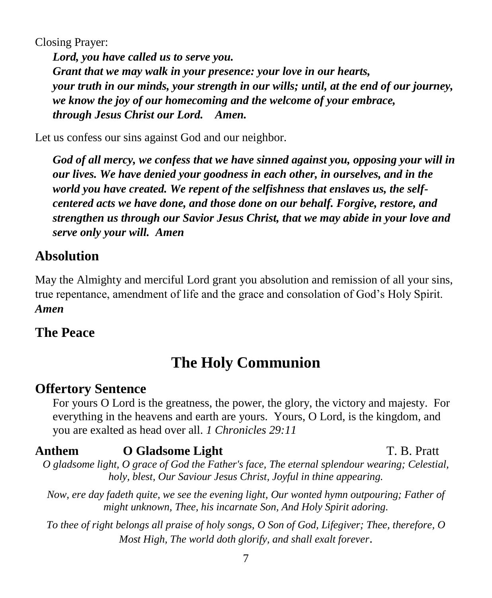Closing Prayer:

*Lord, you have called us to serve you. Grant that we may walk in your presence: your love in our hearts, your truth in our minds, your strength in our wills; until, at the end of our journey, we know the joy of our homecoming and the welcome of your embrace, through Jesus Christ our Lord. Amen.*

Let us confess our sins against God and our neighbor.

*God of all mercy, we confess that we have sinned against you, opposing your will in our lives. We have denied your goodness in each other, in ourselves, and in the world you have created. We repent of the selfishness that enslaves us, the selfcentered acts we have done, and those done on our behalf. Forgive, restore, and strengthen us through our Savior Jesus Christ, that we may abide in your love and serve only your will. Amen*

#### **Absolution**

May the Almighty and merciful Lord grant you absolution and remission of all your sins, true repentance, amendment of life and the grace and consolation of God's Holy Spirit. *Amen*

#### **The Peace**

# **The Holy Communion**

#### **Offertory Sentence**

For yours O Lord is the greatness, the power, the glory, the victory and majesty. For everything in the heavens and earth are yours. Yours, O Lord, is the kingdom, and you are exalted as head over all. *1 Chronicles 29:11*

#### **Anthem O Gladsome Light T. B. Pratt**

*O gladsome light, O grace of God the Father's face, The eternal splendour wearing; Celestial, holy, blest, Our Saviour Jesus Christ, Joyful in thine appearing.*

*Now, ere day fadeth quite, we see the evening light, Our wonted hymn outpouring; Father of might unknown, Thee, his incarnate Son, And Holy Spirit adoring.*

*To thee of right belongs all praise of holy songs, O Son of God, Lifegiver; Thee, therefore, O Most High, The world doth glorify, and shall exalt forever*.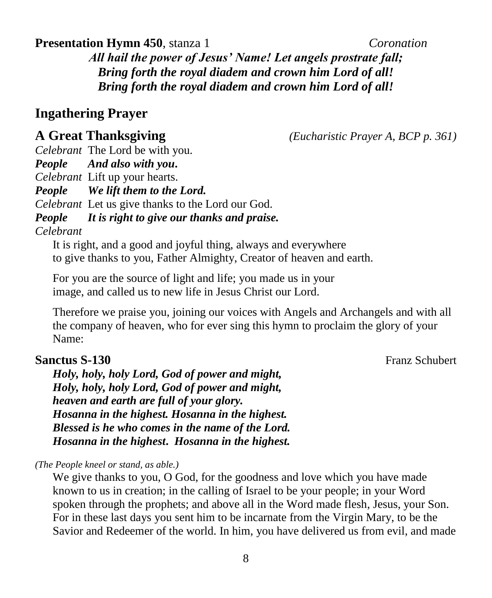8

#### **Presentation Hymn 450**, stanza 1 *Coronation*

*All hail the power of Jesus' Name! Let angels prostrate fall; Bring forth the royal diadem and crown him Lord of all! Bring forth the royal diadem and crown him Lord of all!*

#### **Ingathering Prayer**

#### **A Great Thanksgiving** *(Eucharistic Prayer A, BCP p. 361)*

*Celebrant* The Lord be with you. *People And also with you***.** *Celebrant* Lift up your hearts. *People We lift them to the Lord. Celebrant* Let us give thanks to the Lord our God. *People It is right to give our thanks and praise. Celebrant* 

It is right, and a good and joyful thing, always and everywhere to give thanks to you, Father Almighty, Creator of heaven and earth.

For you are the source of light and life; you made us in your image, and called us to new life in Jesus Christ our Lord.

Therefore we praise you, joining our voices with Angels and Archangels and with all the company of heaven, who for ever sing this hymn to proclaim the glory of your Name:

#### **Sanctus S-130** Franz Schubert **Franz Schubert** Energy Schubert **Franz Schubert**

*Holy, holy, holy Lord, God of power and might, Holy, holy, holy Lord, God of power and might, heaven and earth are full of your glory. Hosanna in the highest. Hosanna in the highest. Blessed is he who comes in the name of the Lord. Hosanna in the highest***.** *Hosanna in the highest.* 

*(The People kneel or stand, as able.)*

We give thanks to you, O God, for the goodness and love which you have made known to us in creation; in the calling of Israel to be your people; in your Word spoken through the prophets; and above all in the Word made flesh, Jesus, your Son. For in these last days you sent him to be incarnate from the Virgin Mary, to be the Savior and Redeemer of the world. In him, you have delivered us from evil, and made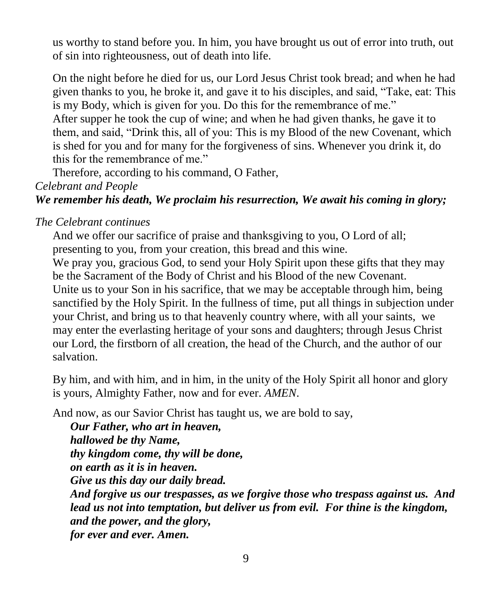us worthy to stand before you. In him, you have brought us out of error into truth, out of sin into righteousness, out of death into life.

On the night before he died for us, our Lord Jesus Christ took bread; and when he had given thanks to you, he broke it, and gave it to his disciples, and said, "Take, eat: This is my Body, which is given for you. Do this for the remembrance of me." After supper he took the cup of wine; and when he had given thanks, he gave it to them, and said, "Drink this, all of you: This is my Blood of the new Covenant, which is shed for you and for many for the forgiveness of sins. Whenever you drink it, do this for the remembrance of me."

Therefore, according to his command, O Father,

*Celebrant and People*

#### *We remember his death, We proclaim his resurrection, We await his coming in glory;*

*The Celebrant continues*

And we offer our sacrifice of praise and thanksgiving to you, O Lord of all; presenting to you, from your creation, this bread and this wine.

We pray you, gracious God, to send your Holy Spirit upon these gifts that they may be the Sacrament of the Body of Christ and his Blood of the new Covenant. Unite us to your Son in his sacrifice, that we may be acceptable through him, being sanctified by the Holy Spirit. In the fullness of time, put all things in subjection under your Christ, and bring us to that heavenly country where, with all your saints, we may enter the everlasting heritage of your sons and daughters; through Jesus Christ our Lord, the firstborn of all creation, the head of the Church, and the author of our salvation.

By him, and with him, and in him, in the unity of the Holy Spirit all honor and glory is yours, Almighty Father, now and for ever. *AMEN*.

And now, as our Savior Christ has taught us, we are bold to say,

*Our Father, who art in heaven, hallowed be thy Name, thy kingdom come, thy will be done, on earth as it is in heaven. Give us this day our daily bread. And forgive us our trespasses, as we forgive those who trespass against us. And lead us not into temptation, but deliver us from evil. For thine is the kingdom, and the power, and the glory, for ever and ever. Amen.*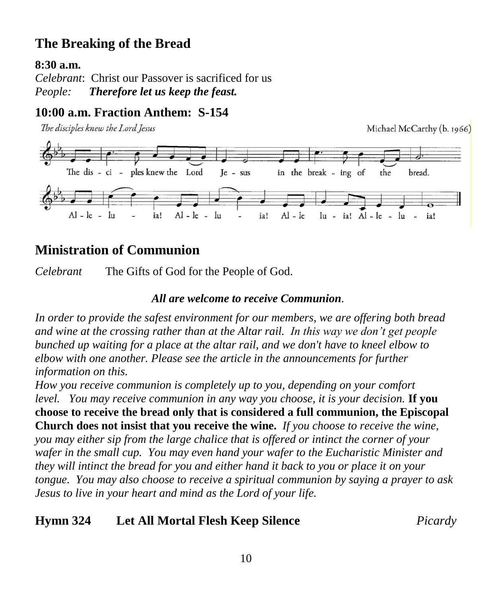# **The Breaking of the Bread**

#### **8:30 a.m.**

*Celebrant*: Christ our Passover is sacrificed for us *People: Therefore let us keep the feast.*

#### **10:00 a.m. Fraction Anthem: S-154**

The disciples knew the Lord Jesus



### **Ministration of Communion**

*Celebrant* The Gifts of God for the People of God.

#### *All are welcome to receive Communion.*

*In order to provide the safest environment for our members, we are offering both bread and wine at the crossing rather than at the Altar rail. In this way we don't get people bunched up waiting for a place at the altar rail, and we don't have to kneel elbow to elbow with one another. Please see the article in the announcements for further information on this.*

*How you receive communion is completely up to you, depending on your comfort level. You may receive communion in any way you choose, it is your decision.* **If you choose to receive the bread only that is considered a full communion, the Episcopal Church does not insist that you receive the wine.** *If you choose to receive the wine, you may either sip from the large chalice that is offered or intinct the corner of your wafer in the small cup. You may even hand your wafer to the Eucharistic Minister and they will intinct the bread for you and either hand it back to you or place it on your tongue. You may also choose to receive a spiritual communion by saying a prayer to ask Jesus to live in your heart and mind as the Lord of your life.*

#### **Hymn 324 Let All Mortal Flesh Keep Silence** *Picardy*

Michael McCarthy (b. 1966)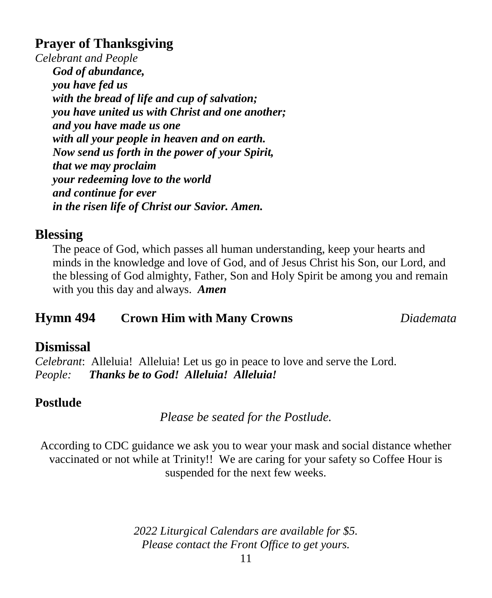### **Prayer of Thanksgiving**

*Celebrant and People God of abundance, you have fed us with the bread of life and cup of salvation; you have united us with Christ and one another; and you have made us one with all your people in heaven and on earth. Now send us forth in the power of your Spirit, that we may proclaim your redeeming love to the world and continue for ever in the risen life of Christ our Savior. Amen.*

#### **Blessing**

The peace of God, which passes all human understanding, keep your hearts and minds in the knowledge and love of God, and of Jesus Christ his Son, our Lord, and the blessing of God almighty, Father, Son and Holy Spirit be among you and remain with you this day and always. *Amen*

#### **Hymn 494 Crown Him with Many Crowns** *Diademata*

#### **Dismissal**

*Celebrant*: Alleluia! Alleluia! Let us go in peace to love and serve the Lord. *People: Thanks be to God! Alleluia! Alleluia!*

#### **Postlude**

*Please be seated for the Postlude.*

According to CDC guidance we ask you to wear your mask and social distance whether vaccinated or not while at Trinity!! We are caring for your safety so Coffee Hour is suspended for the next few weeks.

> *2022 Liturgical Calendars are available for \$5. Please contact the Front Office to get yours.*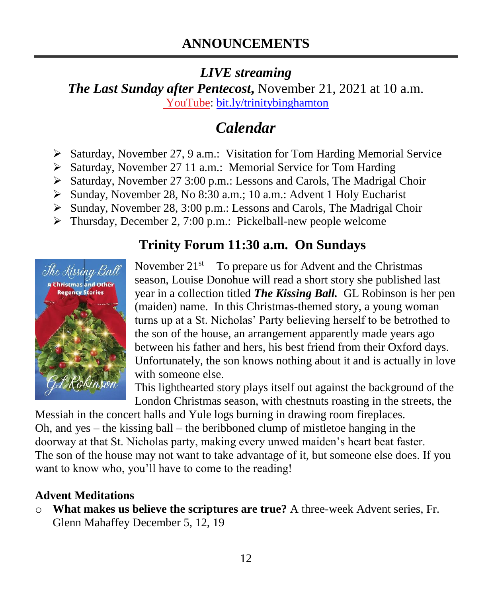## *LIVE streaming*

*The Last Sunday after Pentecost***,** November 21, 2021 at 10 a.m. [YouTube:](https://bit.ly/trinitybinghamton) [bit.ly/trinitybinghamton](https://bit.ly/trinitybinghamton)

# *Calendar*

- ➢ Saturday, November 27, 9 a.m.: Visitation for Tom Harding Memorial Service
- ➢ Saturday, November 27 11 a.m.: Memorial Service for Tom Harding
- ➢ Saturday, November 27 3:00 p.m.: Lessons and Carols, The Madrigal Choir
- ➢ Sunday, November 28, No 8:30 a.m.; 10 a.m.: Advent 1 Holy Eucharist
- ➢ Sunday, November 28, 3:00 p.m.: Lessons and Carols, The Madrigal Choir
- ➢ Thursday, December 2, 7:00 p.m.: Pickelball-new people welcome

# **Trinity Forum 11:30 a.m. On Sundays**



November  $21^{st}$  To prepare us for Advent and the Christmas season, Louise Donohue will read a short story she published last year in a collection titled *The Kissing Ball.* GL Robinson is her pen (maiden) name. In this Christmas-themed story, a young woman turns up at a St. Nicholas' Party believing herself to be betrothed to the son of the house, an arrangement apparently made years ago between his father and hers, his best friend from their Oxford days. Unfortunately, the son knows nothing about it and is actually in love with someone else.

This lighthearted story plays itself out against the background of the London Christmas season, with chestnuts roasting in the streets, the

Messiah in the concert halls and Yule logs burning in drawing room fireplaces. Oh, and yes – the kissing ball – the beribboned clump of mistletoe hanging in the doorway at that St. Nicholas party, making every unwed maiden's heart beat faster. The son of the house may not want to take advantage of it, but someone else does. If you want to know who, you'll have to come to the reading!

#### **Advent Meditations**

o **What makes us believe the scriptures are true?** A three-week Advent series, Fr. Glenn Mahaffey December 5, 12, 19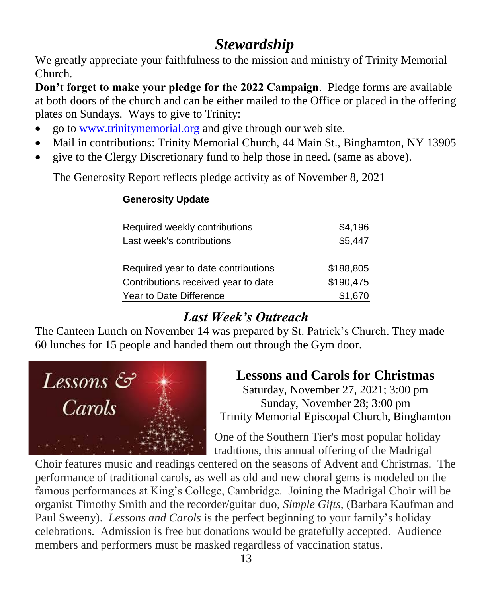# *Stewardship*

We greatly appreciate your faithfulness to the mission and ministry of Trinity Memorial Church.

**Don't forget to make your pledge for the 2022 Campaign**. Pledge forms are available at both doors of the church and can be either mailed to the Office or placed in the offering plates on Sundays. Ways to give to Trinity:

- go to [www.trinitymemorial.org](http://www.trinitymemorial.org/) and give through our web site.
- Mail in contributions: Trinity Memorial Church, 44 Main St., Binghamton, NY 13905
- give to the Clergy Discretionary fund to help those in need. (same as above).

The Generosity Report reflects pledge activity as of November 8, 2021

| <b>Generosity Update</b>            |           |
|-------------------------------------|-----------|
| Required weekly contributions       | \$4,196   |
| Last week's contributions           | \$5,447   |
| Required year to date contributions | \$188,805 |
| Contributions received year to date | \$190,475 |
| Year to Date Difference             | \$1,670   |

# *Last Week's Outreach*

The Canteen Lunch on November 14 was prepared by St. Patrick's Church. They made 60 lunches for 15 people and handed them out through the Gym door.



# **Lessons and Carols for Christmas**

Saturday, November 27, 2021; 3:00 pm Sunday, November 28; 3:00 pm Trinity Memorial Episcopal Church, Binghamton

One of the Southern Tier's most popular holiday traditions, this annual offering of the Madrigal

Choir features music and readings centered on the seasons of Advent and Christmas. The performance of traditional carols, as well as old and new choral gems is modeled on the famous performances at King's College, Cambridge. Joining the Madrigal Choir will be organist Timothy Smith and the recorder/guitar duo, *Simple Gifts,* (Barbara Kaufman and Paul Sweeny). *Lessons and Carols* is the perfect beginning to your family's holiday celebrations. Admission is free but donations would be gratefully accepted. Audience members and performers must be masked regardless of vaccination status.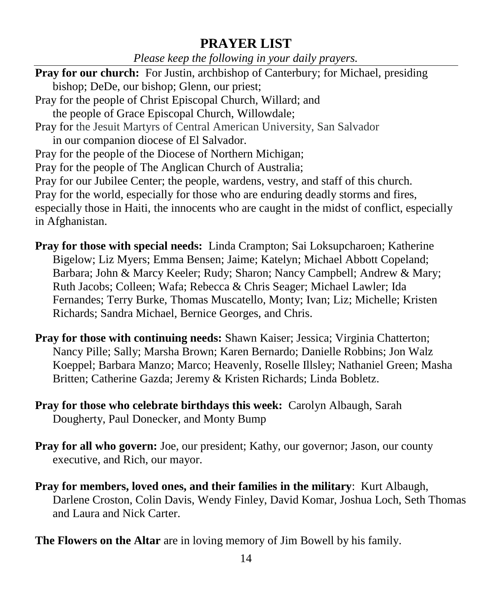#### **PRAYER LIST**

*Please keep the following in your daily prayers.*

**Pray for our church:** For Justin, archbishop of Canterbury; for Michael, presiding bishop; DeDe, our bishop; Glenn, our priest; Pray for the people of Christ Episcopal Church, Willard; and the people of Grace Episcopal Church, Willowdale; Pray for the Jesuit Martyrs of Central American University, San Salvador in our companion diocese of El Salvador. Pray for the people of the Diocese of Northern Michigan; Pray for the people of The Anglican Church of Australia; Pray for our Jubilee Center; the people, wardens, vestry, and staff of this church. Pray for the world, especially for those who are enduring deadly storms and fires, especially those in Haiti, the innocents who are caught in the midst of conflict, especially in Afghanistan.

**Pray for those with special needs:** Linda Crampton; Sai Loksupcharoen; Katherine Bigelow; Liz Myers; Emma Bensen; Jaime; Katelyn; Michael Abbott Copeland; Barbara; John & Marcy Keeler; Rudy; Sharon; Nancy Campbell; Andrew & Mary; Ruth Jacobs; Colleen; Wafa; Rebecca & Chris Seager; Michael Lawler; Ida Fernandes; Terry Burke, Thomas Muscatello, Monty; Ivan; Liz; Michelle; Kristen Richards; Sandra Michael, Bernice Georges, and Chris.

- **Pray for those with continuing needs:** Shawn Kaiser; Jessica; Virginia Chatterton; Nancy Pille; Sally; Marsha Brown; Karen Bernardo; Danielle Robbins; Jon Walz Koeppel; Barbara Manzo; Marco; Heavenly, Roselle Illsley; Nathaniel Green; Masha Britten; Catherine Gazda; Jeremy & Kristen Richards; Linda Bobletz.
- **Pray for those who celebrate birthdays this week:** Carolyn Albaugh, Sarah Dougherty, Paul Donecker, and Monty Bump
- **Pray for all who govern:** Joe, our president; Kathy, our governor; Jason, our county executive, and Rich, our mayor.
- **Pray for members, loved ones, and their families in the military**: Kurt Albaugh, Darlene Croston, Colin Davis, Wendy Finley, David Komar, Joshua Loch, Seth Thomas and Laura and Nick Carter.

**The Flowers on the Altar** are in loving memory of Jim Bowell by his family.